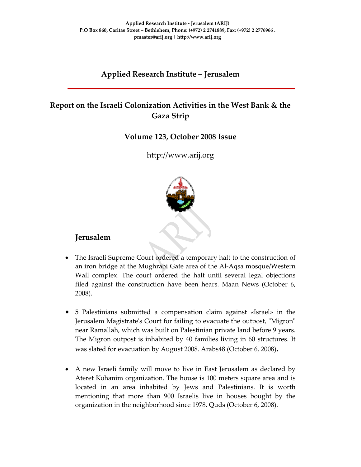## **Applied Research Institute – Jerusalem**

# **Report on the Israeli Colonization Activities in the West Bank & the Gaza Strip**

#### **Volume 123, October 2008 Issue**

### http://www.arij.org



#### **Jerusalem**

- The Israeli Supreme Court ordered a temporary halt to the construction of an iron bridge at the Mughrabi Gate area of the Al‐Aqsa mosque/Western Wall complex. The court ordered the halt until several legal objections filed against the construction have been hears. Maan News (October 6, 2008).
- 5 Palestinians submitted a compensation claim against «Israel» in the Jerusalem Magistrate's Court for failing to evacuate the outpost, "Migron" near Ramallah, which was built on Palestinian private land before 9 years. The Migron outpost is inhabited by 40 families living in 60 structures. It was slated for evacuation by August 2008. Arabs48 (October 6, 2008)**.**
- A new Israeli family will move to live in East Jerusalem as declared by Ateret Kohanim organization. The house is 100 meters square area and is located in an area inhabited by Jews and Palestinians. It is worth mentioning that more than 900 Israelis live in houses bought by the organization in the neighborhood since 1978. Quds (October 6, 2008).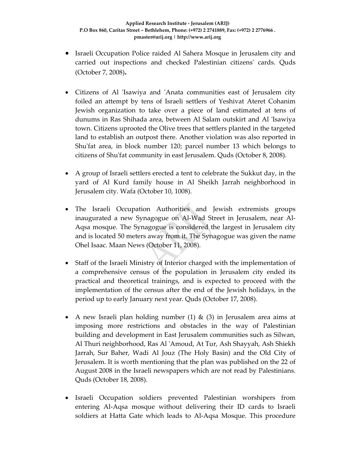- Israeli Occupation Police raided Al Sahera Mosque in Jerusalem city and carried out inspections and checked Palestinian citizensʹ cards. Quds (October 7, 2008)**.**
- Citizens of Al 'Isawiya and 'Anata communities east of Jerusalem city foiled an attempt by tens of Israeli settlers of Yeshivat Ateret Cohanim Jewish organization to take over a piece of land estimated at tens of dunums in Ras Shihada area, between Al Salam outskirt and Al ʹIsawiya town. Citizens uprooted the Olive trees that settlers planted in the targeted land to establish an outpost there. Another violation was also reported in Shu'fat area, in block number 120; parcel number 13 which belongs to citizens of Shuʹfat community in east Jerusalem. Quds (October 8, 2008).
- A group of Israeli settlers erected a tent to celebrate the Sukkut day, in the yard of Al Kurd family house in Al Sheikh Jarrah neighborhood in Jerusalem city. Wafa (October 10, 1008).
- The Israeli Occupation Authorities and Jewish extremists groups inaugurated a new Synagogue on Al‐Wad Street in Jerusalem, near Al‐ Aqsa mosque. The Synagogue is considered the largest in Jerusalem city and is located 50 meters away from it. The Synagogue was given the name Ohel Isaac. Maan News (October 11, 2008).
- Staff of the Israeli Ministry of Interior charged with the implementation of a comprehensive census of the population in Jerusalem city ended its practical and theoretical trainings, and is expected to proceed with the implementation of the census after the end of the Jewish holidays, in the period up to early January next year. Quds (October 17, 2008).
- A new Israeli plan holding number (1) & (3) in Jerusalem area aims at imposing more restrictions and obstacles in the way of Palestinian building and development in East Jerusalem communities such as Silwan, Al Thuri neighborhood, Ras Al ʹAmoud, At Tur, Ash Shayyah, Ash Shiekh Jarrah, Sur Baher, Wadi Al Jouz (The Holy Basin) and the Old City of Jerusalem. It is worth mentioning that the plan was published on the 22 of August 2008 in the Israeli newspapers which are not read by Palestinians. Quds (October 18, 2008).
- Israeli Occupation soldiers prevented Palestinian worshipers from entering Al‐Aqsa mosque without delivering their ID cards to Israeli soldiers at Hatta Gate which leads to Al-Aqsa Mosque. This procedure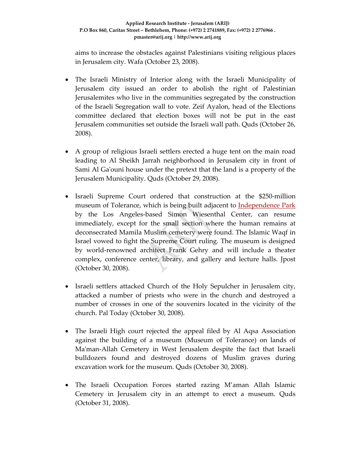aims to increase the obstacles against Palestinians visiting religious places in Jerusalem city. Wafa (October 23, 2008).

- The Israeli Ministry of Interior along with the Israeli Municipality of Jerusalem city issued an order to abolish the right of Palestinian Jerusalemites who live in the communities segregated by the construction of the Israeli Segregation wall to vote. Zeif Ayalon, head of the Elections committee declared that election boxes will not be put in the east Jerusalem communities set outside the Israeli wall path. Quds (October 26, 2008).
- A group of religious Israeli settlers erected a huge tent on the main road leading to Al Sheikh Jarrah neighborhood in Jerusalem city in front of Sami Al Gaʹouni house under the pretext that the land is a property of the Jerusalem Municipality. Quds (October 29, 2008).
- Israeli Supreme Court ordered that construction at the \$250-million museum of Tolerance, which is being built adjacent to **Independence Park** by the Los Angeles‐based Simon Wiesenthal Center, can resume immediately, except for the small section where the human remains at deconsecrated Mamila Muslim cemetery were found. The Islamic Waqf in Israel vowed to fight the Supreme Court ruling. The museum is designed by world‐renowned architect Frank Gehry and will include a theater complex, conference center, library, and gallery and lecture halls. Jpost (October 30, 2008).
- Israeli settlers attacked Church of the Holy Sepulcher in Jerusalem city, attacked a number of priests who were in the church and destroyed a number of crosses in one of the souvenirs located in the vicinity of the church. Pal Today (October 30, 2008).
- The Israeli High court rejected the appeal filed by Al Aqsa Association against the building of a museum (Museum of Tolerance) on lands of Ma'man-Allah Cemetery in West Jerusalem despite the fact that Israeli bulldozers found and destroyed dozens of Muslim graves during excavation work for the museum. Quds (October 30, 2008).
- The Israeli Occupation Forces started razing M'aman Allah Islamic Cemetery in Jerusalem city in an attempt to erect a museum. Quds (October 31, 2008).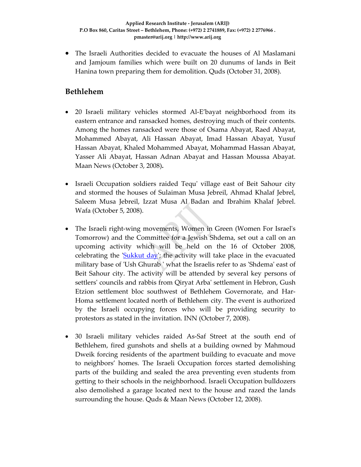• The Israeli Authorities decided to evacuate the houses of Al Maslamani and Jamjoum families which were built on 20 dunums of lands in Beit Hanina town preparing them for demolition. Quds (October 31, 2008).

#### **Bethlehem**

- 20 Israeli military vehicles stormed Al‐E'bayat neighborhood from its eastern entrance and ransacked homes, destroying much of their contents. Among the homes ransacked were those of Osama Abayat, Raed Abayat, Mohammed Abayat, Ali Hassan Abayat, Imad Hassan Abayat, Yusuf Hassan Abayat, Khaled Mohammed Abayat, Mohammad Hassan Abayat, Yasser Ali Abayat, Hassan Adnan Abayat and Hassan Moussa Abayat. Maan News (October 3, 2008)**.**
- Israeli Occupation soldiers raided Tequ' village east of Beit Sahour city and stormed the houses of Sulaiman Musa Jebreil, Ahmad Khalaf Jebrel, Saleem Musa Jebreil, Izzat Musa Al Badan and Ibrahim Khalaf Jebrel. Wafa (October 5, 2008).
- The Israeli right-wing movements, Women in Green (Women For Israel's Tomorrow) and the Committee for a Jewish Shdema, set out a call on an upcoming activity which will be held on the 16 of October 2008, celebrating the 'Sukkut day'; the activity will take place in the evacuated military base of 'Ush Ghurab' what the Israelis refer to as 'Shdema' east of Beit Sahour city. The activity will be attended by several key persons of settlersʹ councils and rabbis from Qiryat Arbaʹ settlement in Hebron, Gush Etzion settlement bloc southwest of Bethlehem Governorate, and Har-Homa settlement located north of Bethlehem city. The event is authorized by the Israeli occupying forces who will be providing security to protestors as stated in the invitation. INN (October 7, 2008).
- 30 Israeli military vehicles raided As‐Saf Street at the south end of Bethlehem, fired gunshots and shells at a building owned by Mahmoud Dweik forcing residents of the apartment building to evacuate and move to neighbors' homes. The Israeli Occupation forces started demolishing parts of the building and sealed the area preventing even students from getting to their schools in the neighborhood. Israeli Occupation bulldozers also demolished a garage located next to the house and razed the lands surrounding the house. Quds & Maan News (October 12, 2008).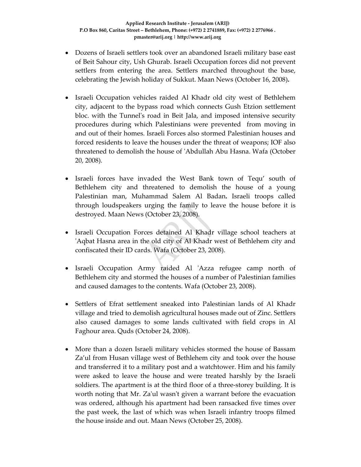- Dozens of Israeli settlers took over an abandoned Israeli military base east of Beit Sahour city, Ush Ghurab. Israeli Occupation forces did not prevent settlers from entering the area. Settlers marched throughout the base, celebrating the Jewish holiday of Sukkut. Maan News (October 16, 2008)**.**
- Israeli Occupation vehicles raided Al Khadr old city west of Bethlehem city, adjacent to the bypass road which connects Gush Etzion settlement bloc. with the Tunnelʹs road in Beit Jala, and imposed intensive security procedures during which Palestinians were prevented from moving in and out of their homes. Israeli Forces also stormed Palestinian houses and forced residents to leave the houses under the threat of weapons; IOF also threatened to demolish the house of ʹAbdullah Abu Hasna. Wafa (October 20, 2008).
- Israeli forces have invaded the West Bank town of Tequ' south of Bethlehem city and threatened to demolish the house of a young Palestinian man, Muhammad Salem Al Badan**.** Israeli troops called through loudspeakers urging the family to leave the house before it is destroyed. Maan News (October 23, 2008).
- Israeli Occupation Forces detained Al Khadr village school teachers at ʹAqbat Hasna area in the old city of Al Khadr west of Bethlehem city and confiscated their ID cards. Wafa (October 23, 2008).
- Israeli Occupation Army raided Al ʹAzza refugee camp north of Bethlehem city and stormed the houses of a number of Palestinian families and caused damages to the contents. Wafa (October 23, 2008).
- Settlers of Efrat settlement sneaked into Palestinian lands of Al Khadr village and tried to demolish agricultural houses made out of Zinc. Settlers also caused damages to some lands cultivated with field crops in Al Faghour area. Quds (October 24, 2008).
- More than a dozen Israeli military vehicles stormed the house of Bassam Za'ul from Husan village west of Bethlehem city and took over the house and transferred it to a military post and a watchtower. Him and his family were asked to leave the house and were treated harshly by the Israeli soldiers. The apartment is at the third floor of a three‐storey building. It is worth noting that Mr. Za'ul wasn't given a warrant before the evacuation was ordered, although his apartment had been ransacked five times over the past week, the last of which was when Israeli infantry troops filmed the house inside and out. Maan News (October 25, 2008).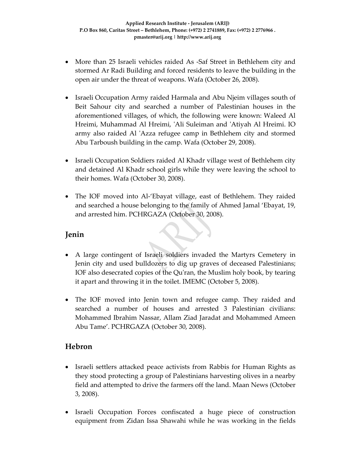- More than 25 Israeli vehicles raided As -Saf Street in Bethlehem city and stormed Ar Radi Building and forced residents to leave the building in the open air under the threat of weapons. Wafa (October 26, 2008).
- Israeli Occupation Army raided Harmala and Abu Njeim villages south of Beit Sahour city and searched a number of Palestinian houses in the aforementioned villages, of which, the following were known: Waleed Al Hreimi, Muhammad Al Hreimi, ʹAli Suleiman and ʹAtiyah Al Hreimi. IO army also raided Al 'Azza refugee camp in Bethlehem city and stormed Abu Tarboush building in the camp. Wafa (October 29, 2008).
- Israeli Occupation Soldiers raided Al Khadr village west of Bethlehem city and detained Al Khadr school girls while they were leaving the school to their homes. Wafa (October 30, 2008).
- The IOF moved into Al-'Ebayat village, east of Bethlehem. They raided and searched a house belonging to the family of Ahmed Jamal 'Ebayat, 19, and arrested him. PCHRGAZA (October 30, 2008).

### **Jenin**

- A large contingent of Israeli soldiers invaded the Martyrs Cemetery in Jenin city and used bulldozers to dig up graves of deceased Palestinians; IOF also desecrated copies of the Quʹran, the Muslim holy book, by tearing it apart and throwing it in the toilet. IMEMC (October 5, 2008).
- The IOF moved into Jenin town and refugee camp. They raided and searched a number of houses and arrested 3 Palestinian civilians: Mohammed Ibrahim Nassar, Allam Ziad Jaradat and Mohammed Ameen Abu Tame'. PCHRGAZA (October 30, 2008).

### **Hebron**

- Israeli settlers attacked peace activists from Rabbis for Human Rights as they stood protecting a group of Palestinians harvesting olives in a nearby field and attempted to drive the farmers off the land. Maan News (October 3, 2008).
- Israeli Occupation Forces confiscated a huge piece of construction equipment from Zidan Issa Shawahi while he was working in the fields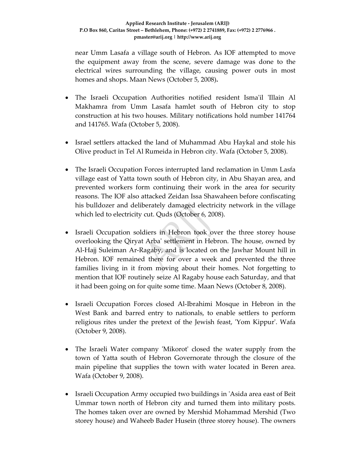near Umm Lasafa a village south of Hebron. As IOF attempted to move the equipment away from the scene, severe damage was done to the electrical wires surrounding the village, causing power outs in most homes and shops. Maan News (October 5, 2008)**.**

- The Israeli Occupation Authorities notified resident Isma'il 'Illain Al Makhamra from Umm Lasafa hamlet south of Hebron city to stop construction at his two houses. Military notifications hold number 141764 and 141765. Wafa (October 5, 2008).
- Israel settlers attacked the land of Muhammad Abu Haykal and stole his Olive product in Tel Al Rumeida in Hebron city. Wafa (October 5, 2008).
- The Israeli Occupation Forces interrupted land reclamation in Umm Lasfa village east of Yatta town south of Hebron city, in Abu Shayan area, and prevented workers form continuing their work in the area for security reasons. The IOF also attacked Zeidan Issa Shawaheen before confiscating his bulldozer and deliberately damaged electricity network in the village which led to electricity cut. Quds (October 6, 2008).
- Israeli Occupation soldiers in Hebron took over the three storey house overlooking the Qiryat Arbaʹ settlement in Hebron. The house, owned by Al‐Hajj Suleiman Ar‐Ragaby, and is located on the Jawhar Mount hill in Hebron. IOF remained there for over a week and prevented the three families living in it from moving about their homes. Not forgetting to mention that IOF routinely seize Al Ragaby house each Saturday, and that it had been going on for quite some time. Maan News (October 8, 2008).
- Israeli Occupation Forces closed Al‐Ibrahimi Mosque in Hebron in the West Bank and barred entry to nationals, to enable settlers to perform religious rites under the pretext of the Jewish feast, 'Yom Kippur'. Wafa (October 9, 2008).
- The Israeli Water company 'Mikorot' closed the water supply from the town of Yatta south of Hebron Governorate through the closure of the main pipeline that supplies the town with water located in Beren area. Wafa (October 9, 2008).
- Israeli Occupation Army occupied two buildings in 'Asida area east of Beit Ummar town north of Hebron city and turned them into military posts. The homes taken over are owned by Mershid Mohammad Mershid (Two storey house) and Waheeb Bader Husein (three storey house). The owners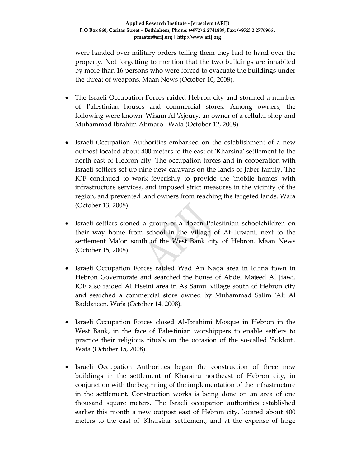were handed over military orders telling them they had to hand over the property. Not forgetting to mention that the two buildings are inhabited by more than 16 persons who were forced to evacuate the buildings under the threat of weapons. Maan News (October 10, 2008).

- The Israeli Occupation Forces raided Hebron city and stormed a number of Palestinian houses and commercial stores. Among owners, the following were known: Wisam Al ʹAjoury, an owner of a cellular shop and Muhammad Ibrahim Ahmaro. Wafa (October 12, 2008).
- Israeli Occupation Authorities embarked on the establishment of a new outpost located about 400 meters to the east of ʹKharsinaʹ settlement to the north east of Hebron city. The occupation forces and in cooperation with Israeli settlers set up nine new caravans on the lands of Jaber family. The IOF continued to work feverishly to provide the 'mobile homes' with infrastructure services, and imposed strict measures in the vicinity of the region, and prevented land owners from reaching the targeted lands. Wafa (October 13, 2008).
- Israeli settlers stoned a group of a dozen Palestinian schoolchildren on their way home from school in the village of At‐Tuwani, next to the settlement Ma'on south of the West Bank city of Hebron. Maan News (October 15, 2008).
- Israeli Occupation Forces raided Wad An Naqa area in Idhna town in Hebron Governorate and searched the house of Abdel Majeed Al Jiawi. IOF also raided Al Hseini area in As Samuʹ village south of Hebron city and searched a commercial store owned by Muhammad Salim ʹAli Al Baddareen. Wafa (October 14, 2008).
- Israeli Occupation Forces closed Al‐Ibrahimi Mosque in Hebron in the West Bank, in the face of Palestinian worshippers to enable settlers to practice their religious rituals on the occasion of the so-called 'Sukkut'. Wafa (October 15, 2008).
- Israeli Occupation Authorities began the construction of three new buildings in the settlement of Kharsina northeast of Hebron city, in conjunction with the beginning of the implementation of the infrastructure in the settlement. Construction works is being done on an area of one thousand square meters. The Israeli occupation authorities established earlier this month a new outpost east of Hebron city, located about 400 meters to the east of 'Kharsina' settlement, and at the expense of large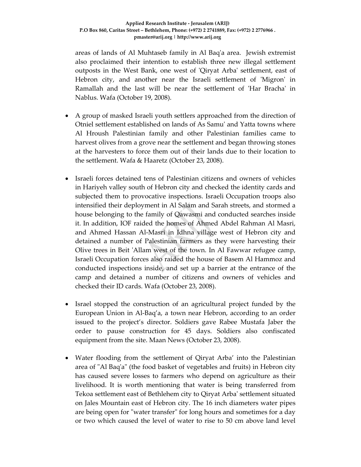areas of lands of Al Muhtaseb family in Al Baqʹa area. Jewish extremist also proclaimed their intention to establish three new illegal settlement outposts in the West Bank, one west of ʹQiryat Arbaʹ settlement, east of Hebron city, and another near the Israeli settlement of 'Migron' in Ramallah and the last will be near the settlement of 'Har Bracha' in Nablus. Wafa (October 19, 2008).

- A group of masked Israeli youth settlers approached from the direction of Otniel settlement established on lands of As Samuʹ and Yatta towns where Al Hroush Palestinian family and other Palestinian families came to harvest olives from a grove near the settlement and began throwing stones at the harvesters to force them out of their lands due to their location to the settlement. Wafa & Haaretz (October 23, 2008).
- Israeli forces detained tens of Palestinian citizens and owners of vehicles in Hariyeh valley south of Hebron city and checked the identity cards and subjected them to provocative inspections. Israeli Occupation troops also intensified their deployment in Al Salam and Sarah streets, and stormed a house belonging to the family of Qawasmi and conducted searches inside it. In addition, IOF raided the homes of Ahmed Abdel Rahman Al Masri, and Ahmed Hassan Al‐Masri in Idhna village west of Hebron city and detained a number of Palestinian farmers as they were harvesting their Olive trees in Beit 'Allam west of the town. In Al Fawwar refugee camp, Israeli Occupation forces also raided the house of Basem Al Hammoz and conducted inspections inside, and set up a barrier at the entrance of the camp and detained a number of citizens and owners of vehicles and checked their ID cards. Wafa (October 23, 2008).
- Israel stopped the construction of an agricultural project funded by the European Union in Al‐Baq'a, a town near Hebron, according to an order issued to the project's director. Soldiers gave Rabee Mustafa Jaber the order to pause construction for 45 days. Soldiers also confiscated equipment from the site. Maan News (October 23, 2008).
- Water flooding from the settlement of Qiryat Arba' into the Palestinian area of "Al Baq'a" (the food basket of vegetables and fruits) in Hebron city has caused severe losses to farmers who depend on agriculture as their livelihood. It is worth mentioning that water is being transferred from Tekoa settlement east of Bethlehem city to Qiryat Arbaʹ settlement situated on Jales Mountain east of Hebron city. The 16 inch diameters water pipes are being open for "water transfer" for long hours and sometimes for a day or two which caused the level of water to rise to 50 cm above land level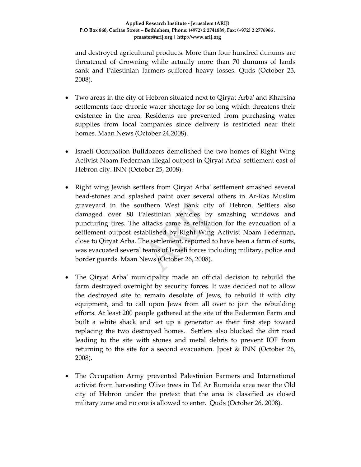and destroyed agricultural products. More than four hundred dunums are threatened of drowning while actually more than 70 dunums of lands sank and Palestinian farmers suffered heavy losses. Quds (October 23, 2008).

- Two areas in the city of Hebron situated next to Qiryat Arbaʹ and Kharsina settlements face chronic water shortage for so long which threatens their existence in the area. Residents are prevented from purchasing water supplies from local companies since delivery is restricted near their homes. Maan News (October 24,2008).
- Israeli Occupation Bulldozers demolished the two homes of Right Wing Activist Noam Federman illegal outpost in Qiryat Arbaʹ settlement east of Hebron city. INN (October 25, 2008).
- Right wing Jewish settlers from Qiryat Arba' settlement smashed several head‐stones and splashed paint over several others in Ar‐Ras Muslim graveyard in the southern West Bank city of Hebron. Settlers also damaged over 80 Palestinian vehicles by smashing windows and puncturing tires. The attacks came as retaliation for the evacuation of a settlement outpost established by Right Wing Activist Noam Federman, close to Qiryat Arba. The settlement, reported to have been a farm of sorts, was evacuated several teams of Israeli forces including military, police and border guards. Maan News (October 26, 2008).
- The Qiryat Arba' municipality made an official decision to rebuild the farm destroyed overnight by security forces. It was decided not to allow the destroyed site to remain desolate of Jews, to rebuild it with city equipment, and to call upon Jews from all over to join the rebuilding efforts. At least 200 people gathered at the site of the Federman Farm and built a white shack and set up a generator as their first step toward replacing the two destroyed homes. Settlers also blocked the dirt road leading to the site with stones and metal debris to prevent IOF from returning to the site for a second evacuation. Jpost & INN (October 26, 2008).
- The Occupation Army prevented Palestinian Farmers and International activist from harvesting Olive trees in Tel Ar Rumeida area near the Old city of Hebron under the pretext that the area is classified as closed military zone and no one is allowed to enter. Quds (October 26, 2008).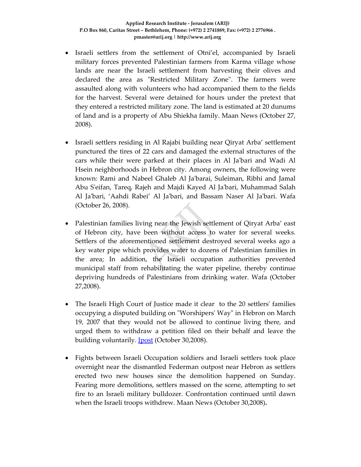- Israeli settlers from the settlement of Otni'el, accompanied by Israeli military forces prevented Palestinian farmers from Karma village whose lands are near the Israeli settlement from harvesting their olives and declared the area as "Restricted Military Zone". The farmers were assaulted along with volunteers who had accompanied them to the fields for the harvest. Several were detained for hours under the pretext that they entered a restricted military zone. The land is estimated at 20 dunums of land and is a property of Abu Shiekha family. Maan News (October 27, 2008).
- Israeli settlers residing in Al Rajabi building near Qiryat Arba' settlement punctured the tires of 22 cars and damaged the external structures of the cars while their were parked at their places in Al Jaʹbari and Wadi Al Hsein neighborhoods in Hebron city. Among owners, the following were known: Rami and Nabeel Ghaleb Al Jaʹbarai, Suleiman, Ribhi and Jamal Abu Sʹeifan, Tareq, Rajeh and Majdi Kayed Al Jaʹbari, Muhammad Salah Al Jaʹbari, 'Aahdi Rabei' Al Jaʹbari, and Bassam Naser Al Jaʹbari. Wafa (October 26, 2008).
- Palestinian families living near the Jewish settlement of Qiryat Arba' east of Hebron city, have been without access to water for several weeks. Settlers of the aforementioned settlement destroyed several weeks ago a key water pipe which provides water to dozens of Palestinian families in the area; In addition, the Israeli occupation authorities prevented municipal staff from rehabilitating the water pipeline, thereby continue depriving hundreds of Palestinians from drinking water. Wafa (October 27,2008).
- The Israeli High Court of Justice made it clear to the 20 settlers' families occupying a disputed building on "Worshipers' Way" in Hebron on March 19, 2007 that they would not be allowed to continue living there, and urged them to withdraw a petition filed on their behalf and leave the building voluntarily. **J**post (October 30,2008).
- Fights between Israeli Occupation soldiers and Israeli settlers took place overnight near the dismantled Federman outpost near Hebron as settlers erected two new houses since the demolition happened on Sunday. Fearing more demolitions, settlers massed on the scene, attempting to set fire to an Israeli military bulldozer. Confrontation continued until dawn when the Israeli troops withdrew. Maan News (October 30,2008)**.**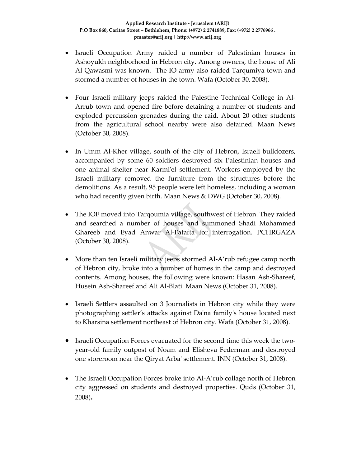- Israeli Occupation Army raided a number of Palestinian houses in Ashoyukh neighborhood in Hebron city. Among owners, the house of Ali Al Qawasmi was known. The IO army also raided Tarqumiya town and stormed a number of houses in the town. Wafa (October 30, 2008).
- Four Israeli military jeeps raided the Palestine Technical College in Al‐ Arrub town and opened fire before detaining a number of students and exploded percussion grenades during the raid. About 20 other students from the agricultural school nearby were also detained. Maan News (October 30, 2008).
- In Umm Al-Kher village, south of the city of Hebron, Israeli bulldozers, accompanied by some 60 soldiers destroyed six Palestinian houses and one animal shelter near Karmiʹel settlement. Workers employed by the Israeli military removed the furniture from the structures before the demolitions. As a result, 95 people were left homeless, including a woman who had recently given birth. Maan News & DWG (October 30, 2008).
- The IOF moved into Tarqoumia village, southwest of Hebron. They raided and searched a number of houses and summoned Shadi Mohammed Ghareeb and Eyad Anwar Al‐Fatafta for interrogation. PCHRGAZA (October 30, 2008).
- More than ten Israeli military jeeps stormed Al-A'rub refugee camp north of Hebron city, broke into a number of homes in the camp and destroyed contents. Among houses, the following were known: Hasan Ash‐Shareef, Husein Ash‐Shareef and Ali Al‐Blati. Maan News (October 31, 2008).
- Israeli Settlers assaulted on 3 Journalists in Hebron city while they were photographing settler's attacks against Daʹna familyʹs house located next to Kharsina settlement northeast of Hebron city. Wafa (October 31, 2008).
- Israeli Occupation Forces evacuated for the second time this week the twoyear‐old family outpost of Noam and Elisheva Federman and destroyed one storeroom near the Qiryat Arbaʹ settlement. INN (October 31, 2008).
- The Israeli Occupation Forces broke into Al‐A'rub collage north of Hebron city aggressed on students and destroyed properties. Quds (October 31, 2008)**.**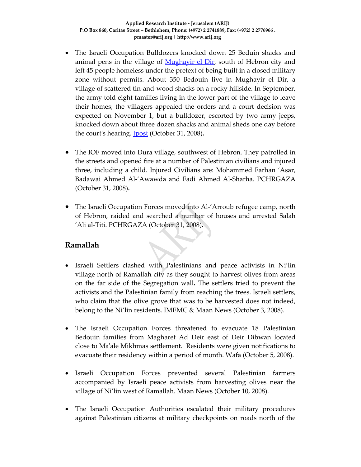- The Israeli Occupation Bulldozers knocked down 25 Beduin shacks and animal pens in the village of Mughayir el Dir, south of Hebron city and left 45 people homeless under the pretext of being built in a closed military zone without permits. About 350 Bedouin live in Mughayir el Dir, a village of scattered tin‐and‐wood shacks on a rocky hillside. In September, the army told eight families living in the lower part of the village to leave their homes; the villagers appealed the orders and a court decision was expected on November 1, but a bulldozer, escorted by two army jeeps, knocked down about three dozen shacks and animal sheds one day before the courtʹs hearing. Jpost (October 31, 2008)**.**
- The IOF moved into Dura village, southwest of Hebron. They patrolled in the streets and opened fire at a number of Palestinian civilians and injured three, including a child. Injured Civilians are: Mohammed Farhan 'Asar, Badawai Ahmed Al‐'Awawda and Fadi Ahmed Al‐Sharha. PCHRGAZA (October 31, 2008)**.**
- The Israeli Occupation Forces moved into Al‐'Arroub refugee camp, north of Hebron, raided and searched a number of houses and arrested Salah 'Ali al‐Titi. PCHRGAZA (October 31, 2008)**.**

### **Ramallah**

- Israeli Settlers clashed with Palestinians and peace activists in Ni'lin village north of Ramallah city as they sought to harvest olives from areas on the far side of the Segregation wall**.** The settlers tried to prevent the activists and the Palestinian family from reaching the trees. Israeli settlers, who claim that the olive grove that was to be harvested does not indeed, belong to the Ni'lin residents. IMEMC & Maan News (October 3, 2008).
- The Israeli Occupation Forces threatened to evacuate 18 Palestinian Bedouin families from Magharet Ad Deir east of Deir Dibwan located close to Maʹale Mikhmas settlement. Residents were given notifications to evacuate their residency within a period of month. Wafa (October 5, 2008).
- Israeli Occupation Forces prevented several Palestinian farmers accompanied by Israeli peace activists from harvesting olives near the village of Ni'lin west of Ramallah. Maan News (October 10, 2008).
- The Israeli Occupation Authorities escalated their military procedures against Palestinian citizens at military checkpoints on roads north of the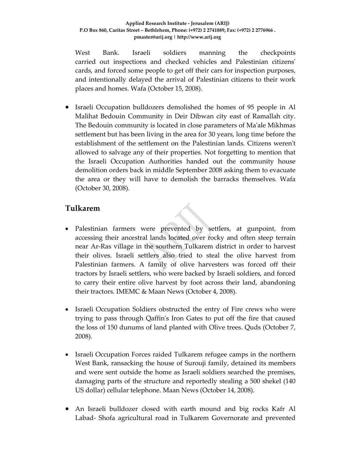#### **Applied Research Institute ‐ Jerusalem (ARIJ) P.O Box 860, Caritas Street – Bethlehem, Phone: (+972) 2 2741889, Fax: (+972) 2 2776966 . pmaster@arij.org | http://www.arij.org**

West Bank. Israeli soldiers manning the checkpoints carried out inspections and checked vehicles and Palestinian citizensʹ cards, and forced some people to get off their cars for inspection purposes, and intentionally delayed the arrival of Palestinian citizens to their work places and homes. Wafa (October 15, 2008).

• Israeli Occupation bulldozers demolished the homes of 95 people in Al Malihat Bedouin Community in Deir Dibwan city east of Ramallah city. The Bedouin community is located in close parameters of Maʹale Mikhmas settlement but has been living in the area for 30 years, long time before the establishment of the settlement on the Palestinian lands. Citizens weren't allowed to salvage any of their properties. Not forgetting to mention that the Israeli Occupation Authorities handed out the community house demolition orders back in middle September 2008 asking them to evacuate the area or they will have to demolish the barracks themselves. Wafa (October 30, 2008).

## **Tulkarem**

- Palestinian farmers were prevented by settlers, at gunpoint, from accessing their ancestral lands located over rocky and often steep terrain near Ar‐Ras village in the southern Tulkarem district in order to harvest their olives. Israeli settlers also tried to steal the olive harvest from Palestinian farmers. A family of olive harvesters was forced off their tractors by Israeli settlers, who were backed by Israeli soldiers, and forced to carry their entire olive harvest by foot across their land, abandoning their tractors. IMEMC & Maan News (October 4, 2008).
- Israeli Occupation Soldiers obstructed the entry of Fire crews who were trying to pass through Qaffinʹs Iron Gates to put off the fire that caused the loss of 150 dunums of land planted with Olive trees. Quds (October 7, 2008).
- Israeli Occupation Forces raided Tulkarem refugee camps in the northern West Bank, ransacking the house of Surouji family, detained its members and were sent outside the home as Israeli soldiers searched the premises, damaging parts of the structure and reportedly stealing a 500 shekel (140 US dollar) cellular telephone. Maan News (October 14, 2008).
- An Israeli bulldozer closed with earth mound and big rocks Kafr Al Labad‐ Shofa agricultural road in Tulkarem Governorate and prevented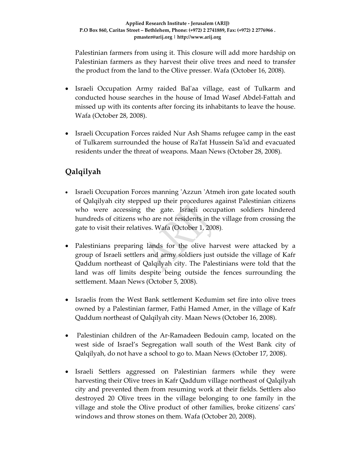Palestinian farmers from using it. This closure will add more hardship on Palestinian farmers as they harvest their olive trees and need to transfer the product from the land to the Olive presser. Wafa (October 16, 2008).

- Israeli Occupation Army raided Balʹaa village, east of Tulkarm and conducted house searches in the house of Imad Wasef Abdel‐Fattah and missed up with its contents after forcing its inhabitants to leave the house. Wafa (October 28, 2008).
- Israeli Occupation Forces raided Nur Ash Shams refugee camp in the east of Tulkarem surrounded the house of Raʹfat Hussein Saʹid and evacuated residents under the threat of weapons. Maan News (October 28, 2008).

# **Qalqilyah**

- Israeli Occupation Forces manning 'Azzun 'Atmeh iron gate located south of Qalqilyah city stepped up their procedures against Palestinian citizens who were accessing the gate. Israeli occupation soldiers hindered hundreds of citizens who are not residents in the village from crossing the gate to visit their relatives. Wafa (October 1, 2008).
- Palestinians preparing lands for the olive harvest were attacked by a group of Israeli settlers and army soldiers just outside the village of Kafr Qaddum northeast of Qalqilyah city. The Palestinians were told that the land was off limits despite being outside the fences surrounding the settlement. Maan News (October 5, 2008).
- Israelis from the West Bank settlement Kedumim set fire into olive trees owned by a Palestinian farmer, Fathi Hamed Amer, in the village of Kafr Qaddum northeast of Qalqilyah city. Maan News (October 16, 2008).
- Palestinian children of the Ar-Ramadeen Bedouin camp, located on the west side of Israel's Segregation wall south of the West Bank city of Qalqilyah, do not have a school to go to. Maan News (October 17, 2008).
- Israeli Settlers aggressed on Palestinian farmers while they were harvesting their Olive trees in Kafr Qaddum village northeast of Qalqilyah city and prevented them from resuming work at their fields. Settlers also destroyed 20 Olive trees in the village belonging to one family in the village and stole the Olive product of other families, broke citizensʹ carsʹ windows and throw stones on them. Wafa (October 20, 2008).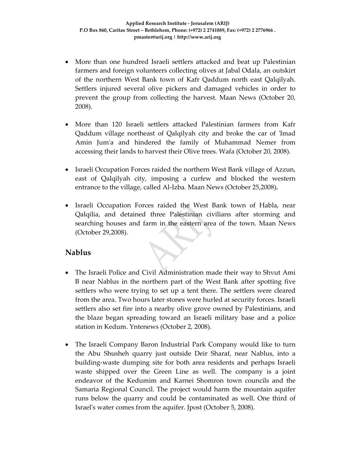- More than one hundred Israeli settlers attacked and beat up Palestinian farmers and foreign volunteers collecting olives at Jabal Odala, an outskirt of the northern West Bank town of Kafr Qaddum north east Qalqilyah. Settlers injured several olive pickers and damaged vehicles in order to prevent the group from collecting the harvest. Maan News (October 20, 2008).
- More than 120 Israeli settlers attacked Palestinian farmers from Kafr Qaddum village northeast of Qalqilyah city and broke the car of ʹImad Amin Jumʹa and hindered the family of Muhammad Nemer from accessing their lands to harvest their Olive trees. Wafa (October 20, 2008).
- Israeli Occupation Forces raided the northern West Bank village of Azzun, east of Qalqilyah city, imposing a curfew and blocked the western entrance to the village, called Al‐Izba. Maan News (October 25,2008)**.**
- Israeli Occupation Forces raided the West Bank town of Habla, near Qalqilia, and detained three Palestinian civilians after storming and searching houses and farm in the eastern area of the town. Maan News (October 29,2008).

### **Nablus**

- The Israeli Police and Civil Administration made their way to Shvut Ami B near Nablus in the northern part of the West Bank after spotting five settlers who were trying to set up a tent there. The settlers were cleared from the area. Two hours later stones were hurled at security forces. Israeli settlers also set fire into a nearby olive grove owned by Palestinians, and the blaze began spreading toward an Israeli military base and a police station in Kedum. Yntenews (October 2, 2008).
- The Israeli Company Baron Industrial Park Company would like to turn the Abu Shusheh quarry just outside Deir Sharaf, near Nablus, into a building‐waste dumping site for both area residents and perhaps Israeli waste shipped over the Green Line as well. The company is a joint endeavor of the Kedumim and Karnei Shomron town councils and the Samaria Regional Council. The project would harm the mountain aquifer runs below the quarry and could be contaminated as well. One third of Israelʹs water comes from the aquifer. Jpost (October 5, 2008).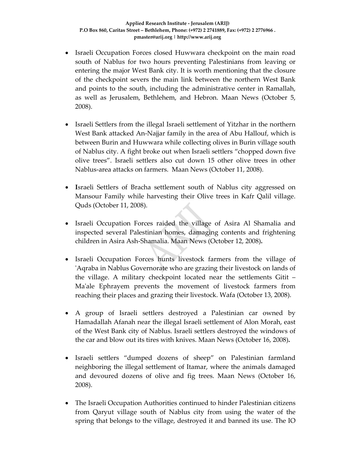- Israeli Occupation Forces closed Huwwara checkpoint on the main road south of Nablus for two hours preventing Palestinians from leaving or entering the major West Bank city. It is worth mentioning that the closure of the checkpoint severs the main link between the northern West Bank and points to the south, including the administrative center in Ramallah, as well as Jerusalem, Bethlehem, and Hebron. Maan News (October 5, 2008).
- Israeli Settlers from the illegal Israeli settlement of Yitzhar in the northern West Bank attacked An‐Najjar family in the area of Abu Hallouf, which is between Burin and Huwwara while collecting olives in Burin village south of Nablus city. A fight broke out when Israeli settlers "chopped down five olive trees". Israeli settlers also cut down 15 other olive trees in other Nablus‐area attacks on farmers. Maan News (October 11, 2008).
- **I**sraeli Settlers of Bracha settlement south of Nablus city aggressed on Mansour Family while harvesting their Olive trees in Kafr Qalil village. Quds (October 11, 2008).
- Israeli Occupation Forces raided the village of Asira Al Shamalia and inspected several Palestinian homes, damaging contents and frightening children in Asira Ash‐Shamalia. Maan News (October 12, 2008)**.**
- Israeli Occupation Forces hunts livestock farmers from the village of 'Aqraba in Nablus Governorate who are grazing their livestock on lands of the village. A military checkpoint located near the settlements Gitit – Ma'ale Ephrayem prevents the movement of livestock farmers from reaching their places and grazing their livestock. Wafa (October 13, 2008).
- A group of Israeli settlers destroyed a Palestinian car owned by Hamadallah Afanah near the illegal Israeli settlement of Alon Morah, east of the West Bank city of Nablus. Israeli settlers destroyed the windows of the car and blow out its tires with knives. Maan News (October 16, 2008)**.**
- Israeli settlers "dumped dozens of sheep" on Palestinian farmland neighboring the illegal settlement of Itamar, where the animals damaged and devoured dozens of olive and fig trees. Maan News (October 16, 2008).
- The Israeli Occupation Authorities continued to hinder Palestinian citizens from Qaryut village south of Nablus city from using the water of the spring that belongs to the village, destroyed it and banned its use. The IO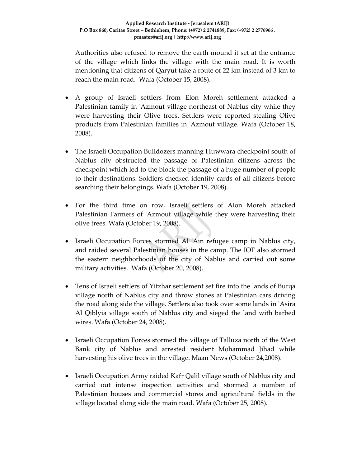Authorities also refused to remove the earth mound it set at the entrance of the village which links the village with the main road. It is worth mentioning that citizens of Qaryut take a route of 22 km instead of 3 km to reach the main road. Wafa (October 15, 2008).

- A group of Israeli settlers from Elon Moreh settlement attacked a Palestinian family in 'Azmout village northeast of Nablus city while they were harvesting their Olive trees. Settlers were reported stealing Olive products from Palestinian families in ʹAzmout village. Wafa (October 18, 2008).
- The Israeli Occupation Bulldozers manning Huwwara checkpoint south of Nablus city obstructed the passage of Palestinian citizens across the checkpoint which led to the block the passage of a huge number of people to their destinations. Soldiers checked identity cards of all citizens before searching their belongings. Wafa (October 19, 2008).
- For the third time on row, Israeli settlers of Alon Moreh attacked Palestinian Farmers of 'Azmout village while they were harvesting their olive trees. Wafa (October 19, 2008).
- Israeli Occupation Forces stormed Al 'Ain refugee camp in Nablus city, and raided several Palestinian houses in the camp. The IOF also stormed the eastern neighborhoods of the city of Nablus and carried out some military activities. Wafa (October 20, 2008).
- Tens of Israeli settlers of Yitzhar settlement set fire into the lands of Burqa village north of Nablus city and throw stones at Palestinian cars driving the road along side the village. Settlers also took over some lands in ʹAsira Al Qiblyia village south of Nablus city and sieged the land with barbed wires. Wafa (October 24, 2008).
- Israeli Occupation Forces stormed the village of Talluza north of the West Bank city of Nablus and arrested resident Mohammad Jihad while harvesting his olive trees in the village. Maan News (October 24,2008).
- Israeli Occupation Army raided Kafr Qalil village south of Nablus city and carried out intense inspection activities and stormed a number of Palestinian houses and commercial stores and agricultural fields in the village located along side the main road. Wafa (October 25, 2008).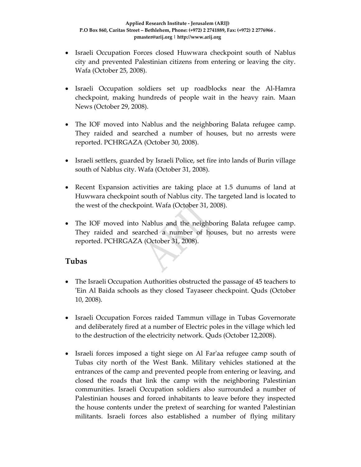- Israeli Occupation Forces closed Huwwara checkpoint south of Nablus city and prevented Palestinian citizens from entering or leaving the city. Wafa (October 25, 2008).
- Israeli Occupation soldiers set up roadblocks near the Al‐Hamra checkpoint, making hundreds of people wait in the heavy rain. Maan News (October 29, 2008).
- The IOF moved into Nablus and the neighboring Balata refugee camp. They raided and searched a number of houses, but no arrests were reported. PCHRGAZA (October 30, 2008).
- Israeli settlers, guarded by Israeli Police, set fire into lands of Burin village south of Nablus city. Wafa (October 31, 2008).
- Recent Expansion activities are taking place at 1.5 dunums of land at Huwwara checkpoint south of Nablus city. The targeted land is located to the west of the checkpoint. Wafa (October 31, 2008).
- The IOF moved into Nablus and the neighboring Balata refugee camp. They raided and searched a number of houses, but no arrests were reported. PCHRGAZA (October 31, 2008).

### **Tubas**

- The Israeli Occupation Authorities obstructed the passage of 45 teachers to ʹEin Al Baida schools as they closed Tayaseer checkpoint. Quds (October 10, 2008).
- Israeli Occupation Forces raided Tammun village in Tubas Governorate and deliberately fired at a number of Electric poles in the village which led to the destruction of the electricity network. Quds (October 12,2008).
- Israeli forces imposed a tight siege on Al Far'aa refugee camp south of Tubas city north of the West Bank. Military vehicles stationed at the entrances of the camp and prevented people from entering or leaving, and closed the roads that link the camp with the neighboring Palestinian communities. Israeli Occupation soldiers also surrounded a number of Palestinian houses and forced inhabitants to leave before they inspected the house contents under the pretext of searching for wanted Palestinian militants. Israeli forces also established a number of flying military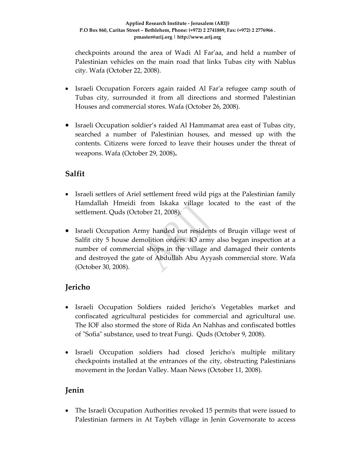checkpoints around the area of Wadi Al Farʹaa, and held a number of Palestinian vehicles on the main road that links Tubas city with Nablus city. Wafa (October 22, 2008).

- Israeli Occupation Forcers again raided Al Farʹa refugee camp south of Tubas city, surrounded it from all directions and stormed Palestinian Houses and commercial stores. Wafa (October 26, 2008).
- Israeli Occupation soldier's raided Al Hammamat area east of Tubas city, searched a number of Palestinian houses, and messed up with the contents. Citizens were forced to leave their houses under the threat of weapons. Wafa (October 29, 2008)**.**

# **Salfit**

- Israeli settlers of Ariel settlement freed wild pigs at the Palestinian family Hamdallah Hmeidi from Iskaka village located to the east of the settlement. Quds (October 21, 2008).
- Israeli Occupation Army handed out residents of Bruqin village west of Salfit city 5 house demolition orders. IO army also began inspection at a number of commercial shops in the village and damaged their contents and destroyed the gate of Abdullah Abu Ayyash commercial store. Wafa (October 30, 2008).

# **Jericho**

- Israeli Occupation Soldiers raided Jericho's Vegetables market and confiscated agricultural pesticides for commercial and agricultural use. The IOF also stormed the store of Rida An Nahhas and confiscated bottles of "Sofia" substance, used to treat Fungi. Quds (October 9, 2008).
- Israeli Occupation soldiers had closed Jericho's multiple military checkpoints installed at the entrances of the city, obstructing Palestinians movement in the Jordan Valley. Maan News (October 11, 2008).

## **Jenin**

• The Israeli Occupation Authorities revoked 15 permits that were issued to Palestinian farmers in At Taybeh village in Jenin Governorate to access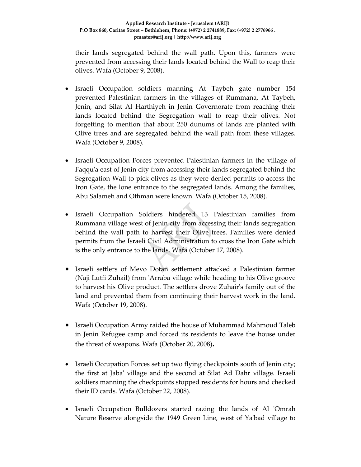their lands segregated behind the wall path. Upon this, farmers were prevented from accessing their lands located behind the Wall to reap their olives. Wafa (October 9, 2008).

- Israeli Occupation soldiers manning At Taybeh gate number 154 prevented Palestinian farmers in the villages of Rummana, At Taybeh, Jenin, and Silat Al Harthiyeh in Jenin Governorate from reaching their lands located behind the Segregation wall to reap their olives. Not forgetting to mention that about 250 dunums of lands are planted with Olive trees and are segregated behind the wall path from these villages. Wafa (October 9, 2008).
- Israeli Occupation Forces prevented Palestinian farmers in the village of Faqqu'a east of Jenin city from accessing their lands segregated behind the Segregation Wall to pick olives as they were denied permits to access the Iron Gate, the lone entrance to the segregated lands. Among the families, Abu Salameh and Othman were known. Wafa (October 15, 2008).
- Israeli Occupation Soldiers hindered 13 Palestinian families from Rummana village west of Jenin city from accessing their lands segregation behind the wall path to harvest their Olive trees. Families were denied permits from the Israeli Civil Administration to cross the Iron Gate which is the only entrance to the lands. Wafa (October 17, 2008).
- Israeli settlers of Mevo Dotan settlement attacked a Palestinian farmer (Naji Lutfi Zuhail) from ʹArraba village while heading to his Olive groove to harvest his Olive product. The settlers drove Zuhairʹs family out of the land and prevented them from continuing their harvest work in the land. Wafa (October 19, 2008).
- Israeli Occupation Army raided the house of Muhammad Mahmoud Taleb in Jenin Refugee camp and forced its residents to leave the house under the threat of weapons. Wafa (October 20, 2008)**.**
- Israeli Occupation Forces set up two flying checkpoints south of Jenin city; the first at Jabaʹ village and the second at Silat Ad Dahr village. Israeli soldiers manning the checkpoints stopped residents for hours and checked their ID cards. Wafa (October 22, 2008).
- Israeli Occupation Bulldozers started razing the lands of Al 'Omrah Nature Reserve alongside the 1949 Green Line, west of Ya'bad village to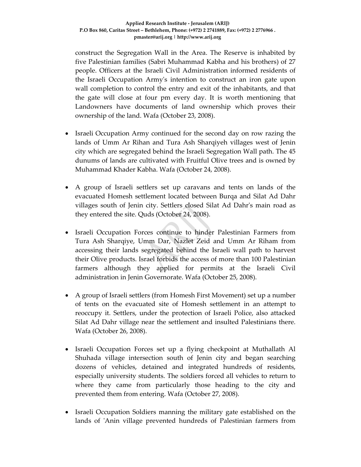construct the Segregation Wall in the Area. The Reserve is inhabited by five Palestinian families (Sabri Muhammad Kabha and his brothers) of 27 people. Officers at the Israeli Civil Administration informed residents of the Israeli Occupation Armyʹs intention to construct an iron gate upon wall completion to control the entry and exit of the inhabitants, and that the gate will close at four pm every day. It is worth mentioning that Landowners have documents of land ownership which proves their ownership of the land. Wafa (October 23, 2008).

- Israeli Occupation Army continued for the second day on row razing the lands of Umm Ar Rihan and Tura Ash Sharqiyeh villages west of Jenin city which are segregated behind the Israeli Segregation Wall path. The 45 dunums of lands are cultivated with Fruitful Olive trees and is owned by Muhammad Khader Kabha. Wafa (October 24, 2008).
- A group of Israeli settlers set up caravans and tents on lands of the evacuated Homesh settlement located between Burqa and Silat Ad Dahr villages south of Jenin city. Settlers closed Silat Ad Dahr's main road as they entered the site. Quds (October 24, 2008).
- Israeli Occupation Forces continue to hinder Palestinian Farmers from Tura Ash Sharqiye, Umm Dar, Nazlet Zeid and Umm Ar Riham from accessing their lands segregated behind the Israeli wall path to harvest their Olive products. Israel forbids the access of more than 100 Palestinian farmers although they applied for permits at the Israeli Civil administration in Jenin Governorate. Wafa (October 25, 2008).
- A group of Israeli settlers (from Homesh First Movement) set up a number of tents on the evacuated site of Homesh settlement in an attempt to reoccupy it. Settlers, under the protection of Israeli Police, also attacked Silat Ad Dahr village near the settlement and insulted Palestinians there. Wafa (October 26, 2008).
- Israeli Occupation Forces set up a flying checkpoint at Muthallath Al Shuhada village intersection south of Jenin city and began searching dozens of vehicles, detained and integrated hundreds of residents, especially university students. The soldiers forced all vehicles to return to where they came from particularly those heading to the city and prevented them from entering. Wafa (October 27, 2008).
- Israeli Occupation Soldiers manning the military gate established on the lands of 'Anin village prevented hundreds of Palestinian farmers from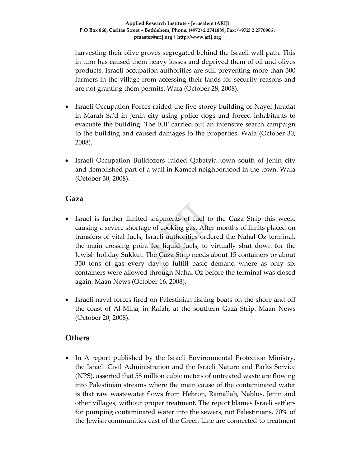harvesting their olive groves segregated behind the Israeli wall path. This in turn has caused them heavy losses and deprived them of oil and olives products. Israeli occupation authorities are still preventing more than 300 farmers in the village from accessing their lands for security reasons and are not granting them permits. Wafa (October 28, 2008).

- Israeli Occupation Forces raided the five storey building of Nayef Jaradat in Marah Saʹd in Jenin city using police dogs and forced inhabitants to evacuate the building. The IOF carried out an intensive search campaign to the building and caused damages to the properties. Wafa (October 30, 2008).
- Israeli Occupation Bulldozers raided Qabatyia town south of Jenin city and demolished part of a wall in Kameel neighborhood in the town. Wafa (October 30, 2008).

#### **Gaza**

- Israel is further limited shipments of fuel to the Gaza Strip this week, causing a severe shortage of cooking gas. After months of limits placed on transfers of vital fuels, Israeli authorities ordered the Nahal Oz terminal, the main crossing point for liquid fuels, to virtually shut down for the Jewish holiday Sukkut. The Gaza Strip needs about 15 containers or about 350 tons of gas every day to fulfill basic demand where as only six containers were allowed through Nahal Oz before the terminal was closed again. Maan News (October 16, 2008)**.**
- Israeli naval forces fired on Palestinian fishing boats on the shore and off the coast of Al‐Mina, in Rafah, at the southern Gaza Strip**.** Maan News (October 20, 2008).

#### **Others**

• In A report published by the Israeli Environmental Protection Ministry, the Israeli Civil Administration and the Israeli Nature and Parks Service (NPS), asserted that 58 million cubic meters of untreated waste are flowing into Palestinian streams where the main cause of the contaminated water is that raw wastewater flows from Hebron, Ramallah, Nablus, Jenin and other villages, without proper treatment. The report blames Israeli settlers for pumping contaminated water into the sewers, not Palestinians. 70% of the Jewish communities east of the Green Line are connected to treatment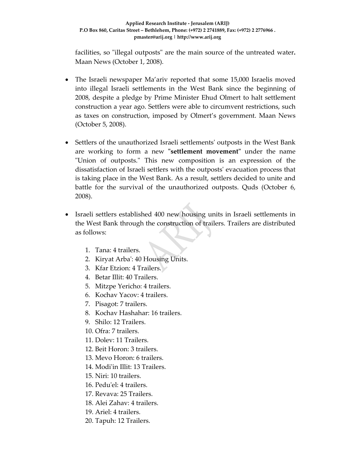facilities, so "illegal outposts" are the main source of the untreated water. Maan News (October 1, 2008).

- The Israeli newspaper Ma'ariv reported that some 15,000 Israelis moved into illegal Israeli settlements in the West Bank since the beginning of 2008, despite a pledge by Prime Minister Ehud Olmert to halt settlement construction a year ago. Settlers were able to circumvent restrictions, such as taxes on construction, imposed by Olmert's government. Maan News (October 5, 2008).
- Settlers of the unauthorized Israeli settlements' outposts in the West Bank are working to form a new "settlement movement" under the name "Union of outposts." This new composition is an expression of the dissatisfaction of Israeli settlers with the outpostsʹ evacuation process that is taking place in the West Bank. As a result, settlers decided to unite and battle for the survival of the unauthorized outposts. Quds (October 6, 2008).
- Israeli settlers established 400 new housing units in Israeli settlements in the West Bank through the construction of trailers. Trailers are distributed as follows:
	- 1. Tana: 4 trailers.
	- 2. Kiryat Arba': 40 Housing Units.
	- 3. Kfar Etzion: 4 Trailers.
	- 4. Betar Illit: 40 Trailers.
	- 5. Mitzpe Yericho: 4 trailers.
	- 6. Kochav Yacov: 4 trailers.
	- 7. Pisagot: 7 trailers.
	- 8. Kochav Hashahar: 16 trailers.
	- 9. Shilo: 12 Trailers.
	- 10. Ofra: 7 trailers.
	- 11. Dolev: 11 Trailers.
	- 12. Beit Horon: 3 trailers.
	- 13. Mevo Horon: 6 trailers.
	- 14. Modi'in Illit: 13 Trailers.
	- 15. Niri: 10 trailers.
	- 16. Peduʹel: 4 trailers.
	- 17. Revava: 25 Trailers.
	- 18. Alei Zahav: 4 trailers.
	- 19. Ariel: 4 trailers.
	- 20. Tapuh: 12 Trailers.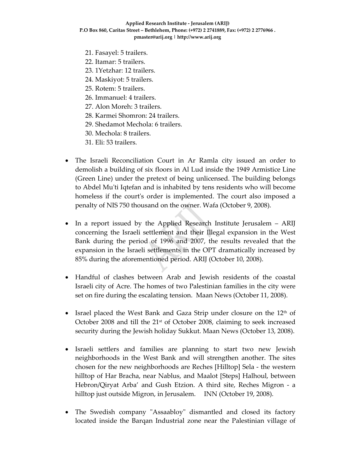- 21. Fasayel: 5 trailers.
- 22. Itamar: 5 trailers.
- 23. 1Yetzhar: 12 trailers.
- 24. Maskiyot: 5 trailers.
- 25. Rotem: 5 trailers.
- 26. Immanuel: 4 trailers.
- 27. Alon Moreh: 3 trailers.
- 28. Karmei Shomron: 24 trailers.
- 29. Shedamot Mechola: 6 trailers.
- 30. Mechola: 8 trailers.
- 31. Eli: 53 trailers.
- The Israeli Reconciliation Court in Ar Ramla city issued an order to demolish a building of six floors in Al Lud inside the 1949 Armistice Line (Green Line) under the pretext of being unlicensed. The building belongs to Abdel Muʹti Iqtefan and is inhabited by tens residents who will become homeless if the court's order is implemented. The court also imposed a penalty of NIS 750 thousand on the owner. Wafa (October 9, 2008).
- In a report issued by the Applied Research Institute Jerusalem ARIJ concerning the Israeli settlement and their Illegal expansion in the West Bank during the period of 1996 and 2007, the results revealed that the expansion in the Israeli settlements in the OPT dramatically increased by 85% during the aforementioned period. ARIJ (October 10, 2008).
- Handful of clashes between Arab and Jewish residents of the coastal Israeli city of Acre. The homes of two Palestinian families in the city were set on fire during the escalating tension. Maan News (October 11, 2008).
- Israel placed the West Bank and Gaza Strip under closure on the  $12<sup>th</sup>$  of October 2008 and till the 21<sup>st</sup> of October 2008, claiming to seek increased security during the Jewish holiday Sukkut. Maan News (October 13, 2008).
- Israeli settlers and families are planning to start two new Jewish neighborhoods in the West Bank and will strengthen another. The sites chosen for the new neighborhoods are Reches [Hilltop] Sela ‐ the western hilltop of Har Bracha, near Nablus, and Maalot [Steps] Halhoul, between Hebron/Qiryat Arba' and Gush Etzion. A third site, Reches Migron - a hilltop just outside Migron, in Jerusalem. INN (October 19, 2008).
- The Swedish company "Assaabloy" dismantled and closed its factory located inside the Barqan Industrial zone near the Palestinian village of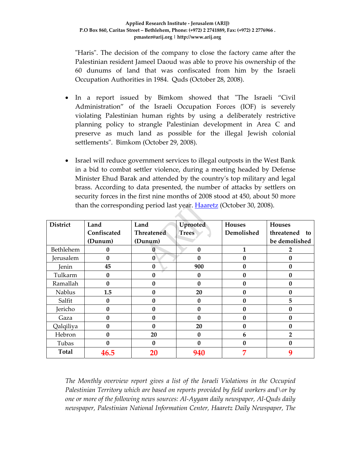ʺHarisʺ. The decision of the company to close the factory came after the Palestinian resident Jameel Daoud was able to prove his ownership of the 60 dunums of land that was confiscated from him by the Israeli Occupation Authorities in 1984. Quds (October 28, 2008).

- In a report issued by Bimkom showed that "The Israeli "Civil Administration" of the Israeli Occupation Forces (IOF) is severely violating Palestinian human rights by using a deliberately restrictive planning policy to strangle Palestinian development in Area C and preserve as much land as possible for the illegal Jewish colonial settlements". Bimkom (October 29, 2008).
- Israel will reduce government services to illegal outposts in the West Bank in a bid to combat settler violence, during a meeting headed by Defense Minister Ehud Barak and attended by the countryʹs top military and legal brass. According to data presented, the number of attacks by settlers on security forces in the first nine months of 2008 stood at 450, about 50 more than the corresponding period last year. **Haaretz** (October 30, 2008).

| <b>District</b> | Land         | Land              | Uprooted         | <b>Houses</b>    | <b>Houses</b>    |
|-----------------|--------------|-------------------|------------------|------------------|------------------|
|                 | Confiscated  | <b>Threatened</b> | <b>Trees</b>     | Demolished       | threatened<br>to |
|                 | (Dunum)      | (Dunum)           |                  |                  | be demolished    |
| Bethlehem       | 0            | 0                 | $\bf{0}$         | 1                | 2                |
| Jerusalem       | 0            | $\bf{0}$          | 0                | $\mathbf{0}$     | 0                |
| Jenin           | 45           | $\bf{0}$          | 900              | $\boldsymbol{0}$ | 0                |
| Tulkarm         | $\mathbf{0}$ | 0                 | $\bf{0}$         | $\mathbf{0}$     | 0                |
| Ramallah        | 0            | 0                 | $\mathbf{0}$     | $\mathbf{0}$     | 0                |
| Nablus          | 1.5          | 0                 | 20               | $\boldsymbol{0}$ | 0                |
| Salfit          | $\mathbf{0}$ | 0                 | $\bf{0}$         | $\Omega$         | 5                |
| Jericho         | O            | 0                 | $\mathbf{0}$     | $\Omega$         | 0                |
| Gaza            | O            | 0                 | $\mathbf{0}$     | $\mathbf{0}$     | 0                |
| Qalqiliya       | $\bf{0}$     | $\bf{0}$          | 20               | $\mathbf{0}$     | $\bf{0}$         |
| Hebron          | O            | 20                | $\bf{0}$         | 6                | $\overline{2}$   |
| Tubas           | 0            | $\bf{0}$          | $\boldsymbol{0}$ | $\boldsymbol{0}$ | 0                |
| <b>Total</b>    | 46.5         | 20                | 940              | 7                | 9                |

*The Monthly overview report gives a list of the Israeli Violations in the Occupied Palestinian Territory which are based on reports provided by field workers and\or by one or more of the following news sources: Al‐Ayyam daily newspaper, Al‐Quds daily newspaper, Palestinian National Information Center, Haaretz Daily Newspaper, The*